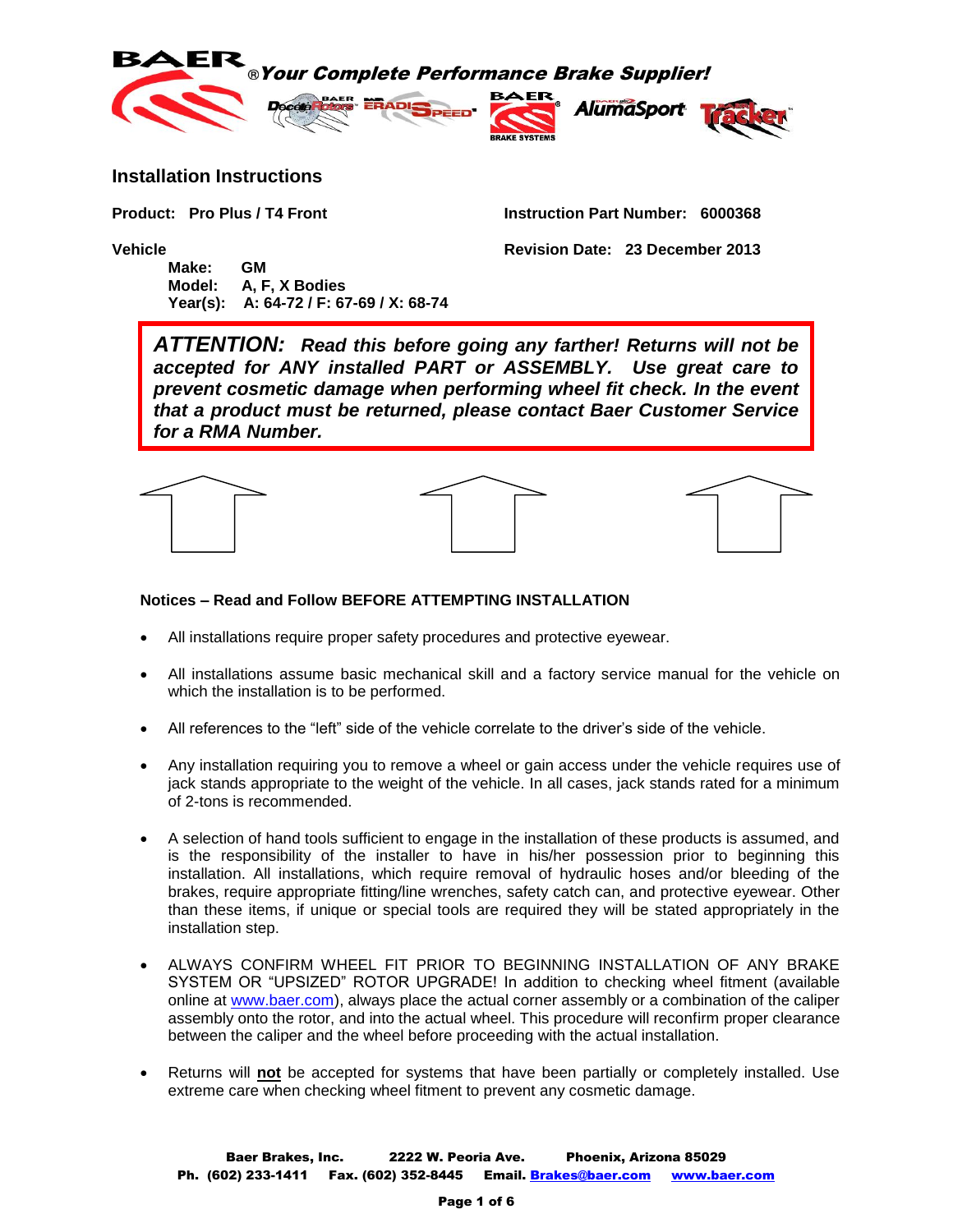

### **Installation Instructions**

**Product: Pro Plus / T4 Front Instruction Part Number: 6000368**

**Vehicle Revision Date: 23 December 2013 Make: GM Model: A, F, X Bodies**

**Year(s): A: 64-72 / F: 67-69 / X: 68-74**

*ATTENTION: Read this before going any farther! Returns will not be accepted for ANY installed PART or ASSEMBLY. Use great care to prevent cosmetic damage when performing wheel fit check. In the event that a product must be returned, please contact Baer Customer Service for a RMA Number.*



#### **Notices – Read and Follow BEFORE ATTEMPTING INSTALLATION**

- All installations require proper safety procedures and protective eyewear.
- All installations assume basic mechanical skill and a factory service manual for the vehicle on which the installation is to be performed.
- All references to the "left" side of the vehicle correlate to the driver's side of the vehicle.
- Any installation requiring you to remove a wheel or gain access under the vehicle requires use of jack stands appropriate to the weight of the vehicle. In all cases, jack stands rated for a minimum of 2-tons is recommended.
- A selection of hand tools sufficient to engage in the installation of these products is assumed, and is the responsibility of the installer to have in his/her possession prior to beginning this installation. All installations, which require removal of hydraulic hoses and/or bleeding of the brakes, require appropriate fitting/line wrenches, safety catch can, and protective eyewear. Other than these items, if unique or special tools are required they will be stated appropriately in the installation step.
- ALWAYS CONFIRM WHEEL FIT PRIOR TO BEGINNING INSTALLATION OF ANY BRAKE SYSTEM OR "UPSIZED" ROTOR UPGRADE! In addition to checking wheel fitment (available online at [www.baer.com\)](http://www.baer.com/), always place the actual corner assembly or a combination of the caliper assembly onto the rotor, and into the actual wheel. This procedure will reconfirm proper clearance between the caliper and the wheel before proceeding with the actual installation.
- Returns will **not** be accepted for systems that have been partially or completely installed. Use extreme care when checking wheel fitment to prevent any cosmetic damage.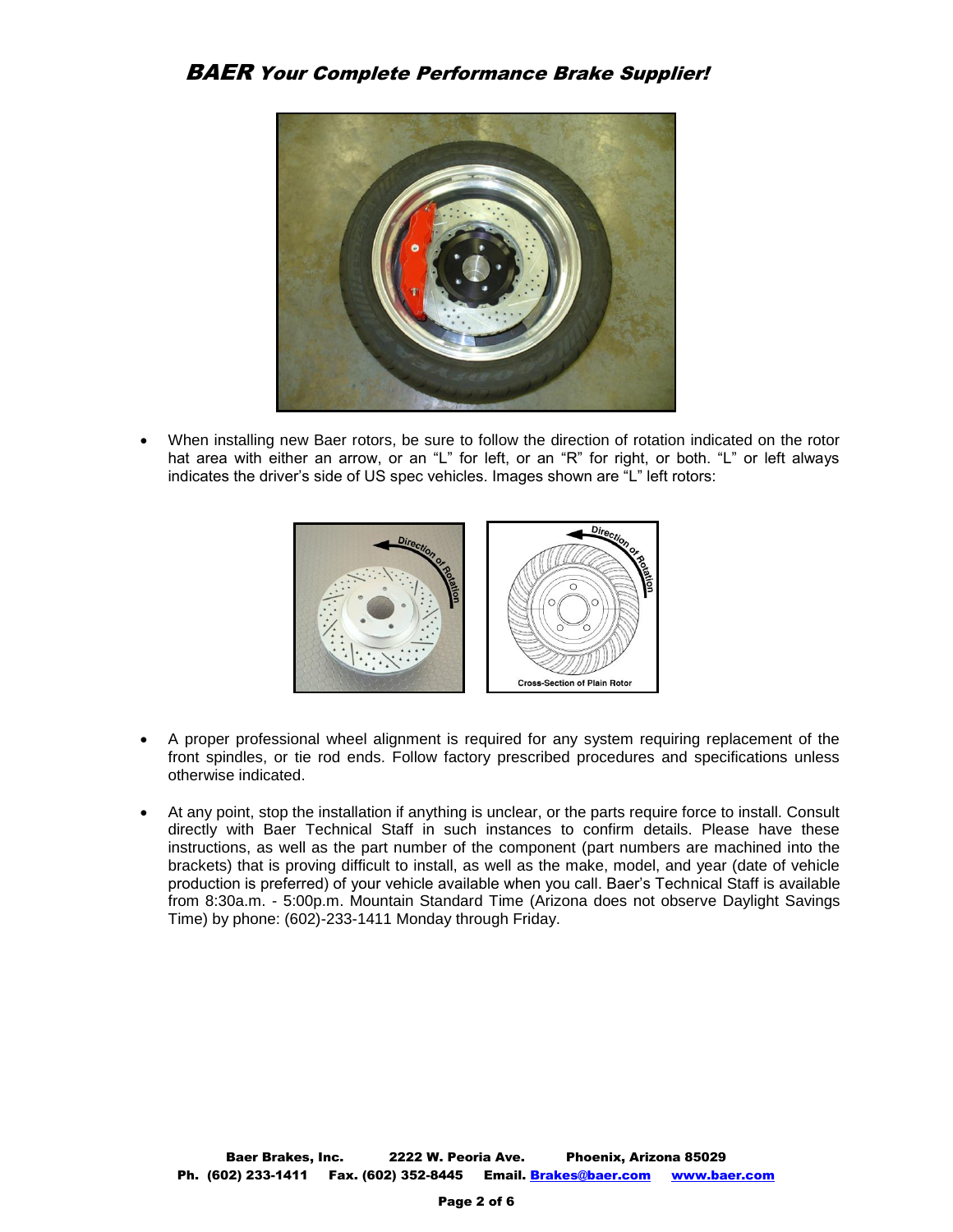

 When installing new Baer rotors, be sure to follow the direction of rotation indicated on the rotor hat area with either an arrow, or an "L" for left, or an "R" for right, or both. "L" or left always indicates the driver's side of US spec vehicles. Images shown are "L" left rotors:



- A proper professional wheel alignment is required for any system requiring replacement of the front spindles, or tie rod ends. Follow factory prescribed procedures and specifications unless otherwise indicated.
- At any point, stop the installation if anything is unclear, or the parts require force to install. Consult directly with Baer Technical Staff in such instances to confirm details. Please have these instructions, as well as the part number of the component (part numbers are machined into the brackets) that is proving difficult to install, as well as the make, model, and year (date of vehicle production is preferred) of your vehicle available when you call. Baer's Technical Staff is available from 8:30a.m. - 5:00p.m. Mountain Standard Time (Arizona does not observe Daylight Savings Time) by phone: (602)-233-1411 Monday through Friday.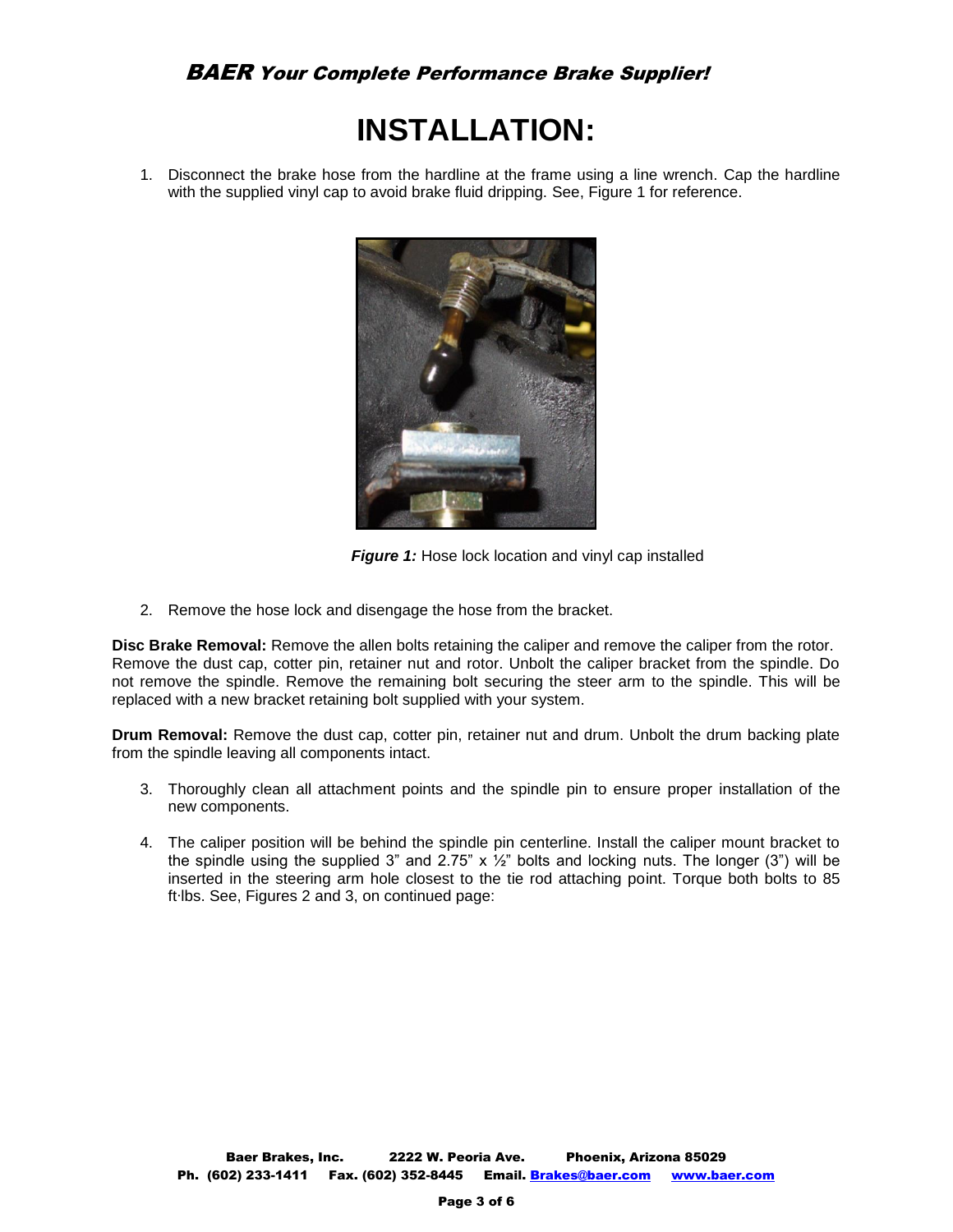# **INSTALLATION:**

1. Disconnect the brake hose from the hardline at the frame using a line wrench. Cap the hardline with the supplied vinyl cap to avoid brake fluid dripping. See, Figure 1 for reference.



**Figure 1:** Hose lock location and vinyl cap installed

2. Remove the hose lock and disengage the hose from the bracket.

**Disc Brake Removal:** Remove the allen bolts retaining the caliper and remove the caliper from the rotor. Remove the dust cap, cotter pin, retainer nut and rotor. Unbolt the caliper bracket from the spindle. Do not remove the spindle. Remove the remaining bolt securing the steer arm to the spindle. This will be replaced with a new bracket retaining bolt supplied with your system.

**Drum Removal:** Remove the dust cap, cotter pin, retainer nut and drum. Unbolt the drum backing plate from the spindle leaving all components intact.

- 3. Thoroughly clean all attachment points and the spindle pin to ensure proper installation of the new components.
- 4. The caliper position will be behind the spindle pin centerline. Install the caliper mount bracket to the spindle using the supplied 3" and 2.75"  $\times$  1/<sub>2</sub>" bolts and locking nuts. The longer (3") will be inserted in the steering arm hole closest to the tie rod attaching point. Torque both bolts to 85 ft∙lbs. See, Figures 2 and 3, on continued page: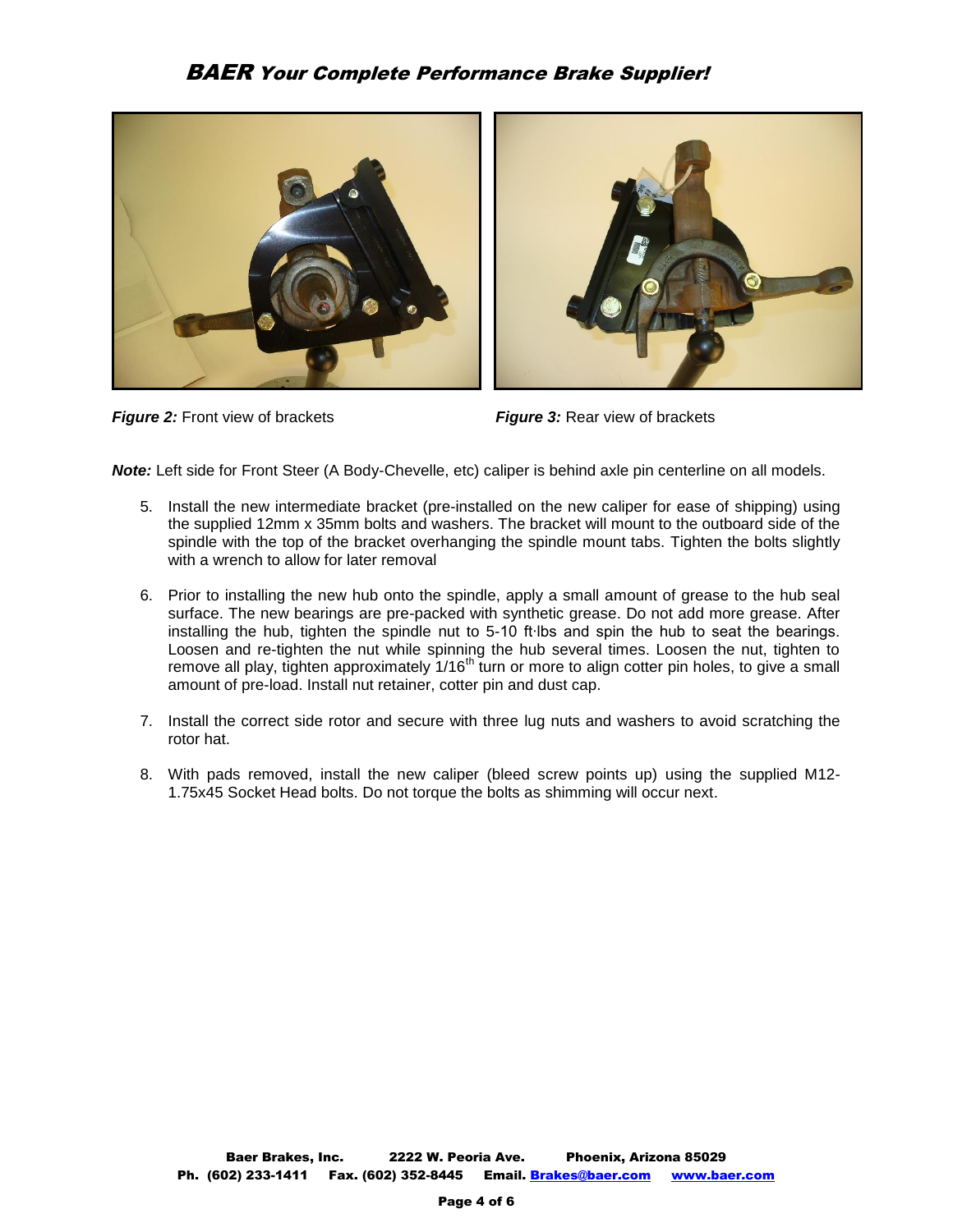



*Figure 2:* Front view of brackets *Figure 3:* Rear view of brackets

*Note:* Left side for Front Steer (A Body-Chevelle, etc) caliper is behind axle pin centerline on all models.

- 5. Install the new intermediate bracket (pre-installed on the new caliper for ease of shipping) using the supplied 12mm x 35mm bolts and washers. The bracket will mount to the outboard side of the spindle with the top of the bracket overhanging the spindle mount tabs. Tighten the bolts slightly with a wrench to allow for later removal
- 6. Prior to installing the new hub onto the spindle, apply a small amount of grease to the hub seal surface. The new bearings are pre-packed with synthetic grease. Do not add more grease. After installing the hub, tighten the spindle nut to 5-10 ft∙lbs and spin the hub to seat the bearings. Loosen and re-tighten the nut while spinning the hub several times. Loosen the nut, tighten to remove all play, tighten approximately 1/16<sup>th</sup> turn or more to align cotter pin holes, to give a small amount of pre-load. Install nut retainer, cotter pin and dust cap.
- 7. Install the correct side rotor and secure with three lug nuts and washers to avoid scratching the rotor hat.
- 8. With pads removed, install the new caliper (bleed screw points up) using the supplied M12- 1.75x45 Socket Head bolts. Do not torque the bolts as shimming will occur next.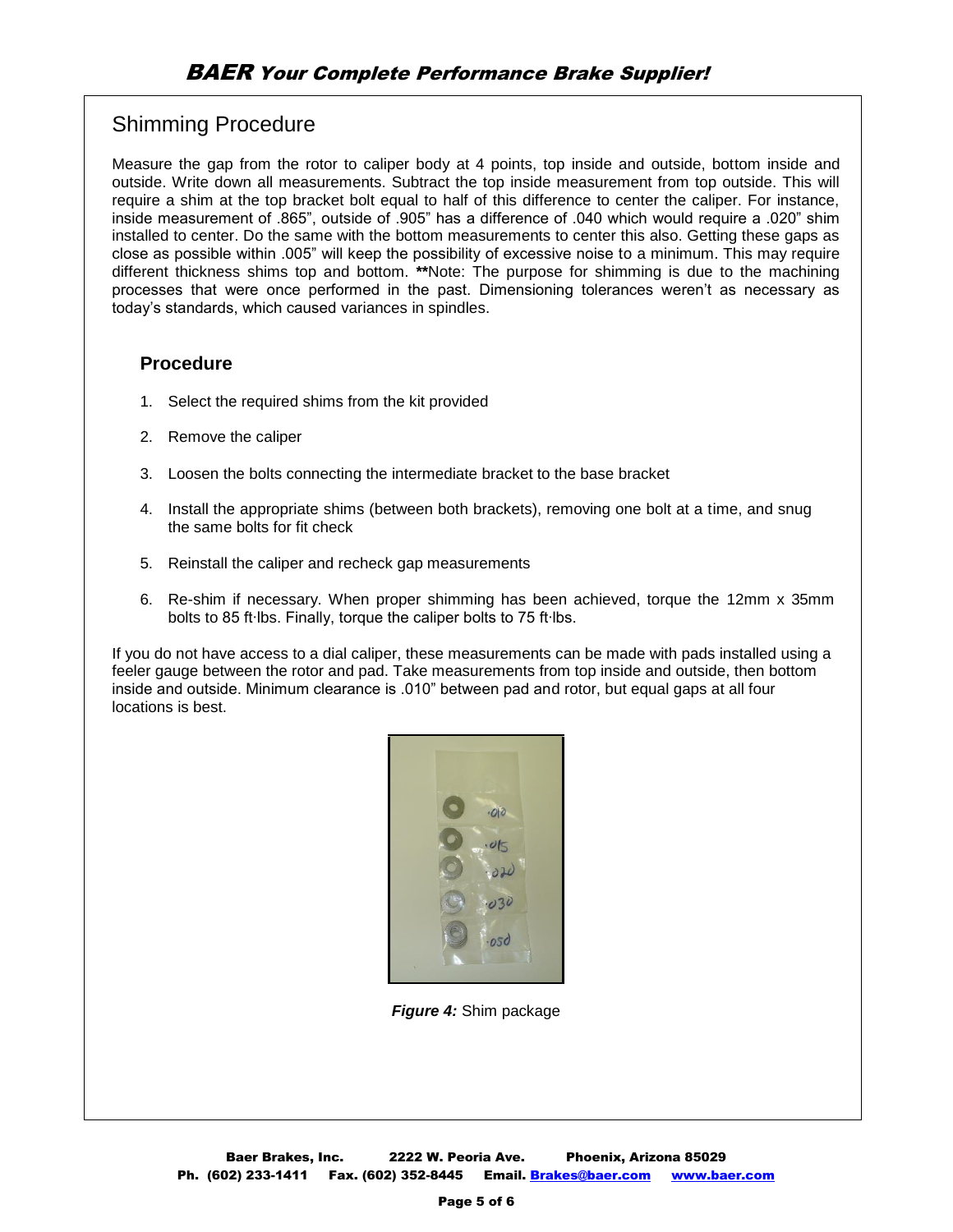# Shimming Procedure

Measure the gap from the rotor to caliper body at 4 points, top inside and outside, bottom inside and outside. Write down all measurements. Subtract the top inside measurement from top outside. This will require a shim at the top bracket bolt equal to half of this difference to center the caliper. For instance, inside measurement of .865", outside of .905" has a difference of .040 which would require a .020" shim installed to center. Do the same with the bottom measurements to center this also. Getting these gaps as close as possible within .005" will keep the possibility of excessive noise to a minimum. This may require different thickness shims top and bottom. **\*\***Note: The purpose for shimming is due to the machining processes that were once performed in the past. Dimensioning tolerances weren't as necessary as today's standards, which caused variances in spindles.

## **Procedure**

- 1. Select the required shims from the kit provided
- 2. Remove the caliper
- 3. Loosen the bolts connecting the intermediate bracket to the base bracket
- 4. Install the appropriate shims (between both brackets), removing one bolt at a time, and snug the same bolts for fit check
- 5. Reinstall the caliper and recheck gap measurements
- 6. Re-shim if necessary. When proper shimming has been achieved, torque the 12mm x 35mm bolts to 85 ft∙lbs. Finally, torque the caliper bolts to 75 ft∙lbs.

If you do not have access to a dial caliper, these measurements can be made with pads installed using a feeler gauge between the rotor and pad. Take measurements from top inside and outside, then bottom inside and outside. Minimum clearance is .010" between pad and rotor, but equal gaps at all four locations is best.



*Figure 4:* Shim package